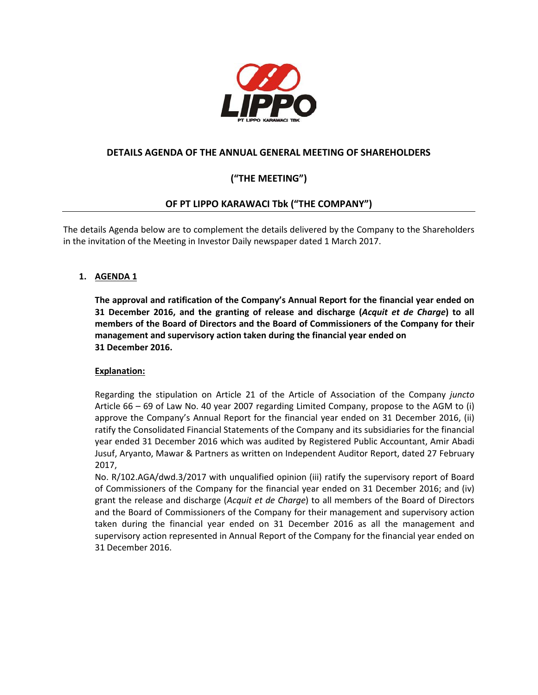

## **DETAILS AGENDA OF THE ANNUAL GENERAL MEETING OF SHAREHOLDERS**

# **("THE MEETING")**

## **OF PT LIPPO KARAWACI Tbk ("THE COMPANY")**

The details Agenda below are to complement the details delivered by the Company to the Shareholders in the invitation of the Meeting in Investor Daily newspaper dated 1 March 2017.

## **1. AGENDA 1**

**The approval and ratification of the Company's Annual Report for the financial year ended on 31 December 2016, and the granting of release and discharge (***Acquit et de Charge***) to all members of the Board of Directors and the Board of Commissioners of the Company for their management and supervisory action taken during the financial year ended on 31 December 2016.**

## **Explanation:**

Regarding the stipulation on Article 21 of the Article of Association of the Company *juncto* Article 66 – 69 of Law No. 40 year 2007 regarding Limited Company, propose to the AGM to (i) approve the Company's Annual Report for the financial year ended on 31 December 2016, (ii) ratify the Consolidated Financial Statements of the Company and its subsidiaries for the financial year ended 31 December 2016 which was audited by Registered Public Accountant, Amir Abadi Jusuf, Aryanto, Mawar & Partners as written on Independent Auditor Report, dated 27 February 2017,

No. R/102.AGA/dwd.3/2017 with unqualified opinion (iii) ratify the supervisory report of Board of Commissioners of the Company for the financial year ended on 31 December 2016; and (iv) grant the release and discharge (*Acquit et de Charge*) to all members of the Board of Directors and the Board of Commissioners of the Company for their management and supervisory action taken during the financial year ended on 31 December 2016 as all the management and supervisory action represented in Annual Report of the Company for the financial year ended on 31 December 2016.